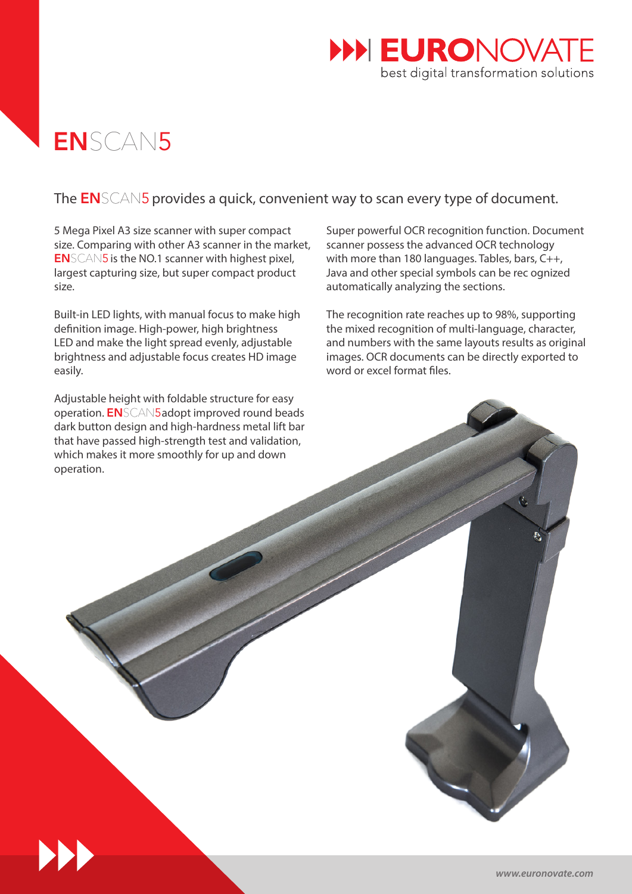

# ENSCAN5

## The **EN**SCAN5 provides a quick, convenient way to scan every type of document.

5 Mega Pixel A3 size scanner with super compact size. Comparing with other A3 scanner in the market, ENSCAN5 is the NO.1 scanner with highest pixel, largest capturing size, but super compact product size.

Built-in LED lights, with manual focus to make high definition image. High-power, high brightness LED and make the light spread evenly, adjustable brightness and adjustable focus creates HD image easily.

Adjustable height with foldable structure for easy operation. ENSCAN5 adopt improved round beads dark button design and high-hardness metal lift bar that have passed high-strength test and validation, which makes it more smoothly for up and down operation.

Super powerful OCR recognition function. Document scanner possess the advanced OCR technology with more than 180 languages. Tables, bars, C++, Java and other special symbols can be rec ognized automatically analyzing the sections.

The recognition rate reaches up to 98%, supporting the mixed recognition of multi-language, character, and numbers with the same layouts results as original images. OCR documents can be directly exported to word or excel format files.